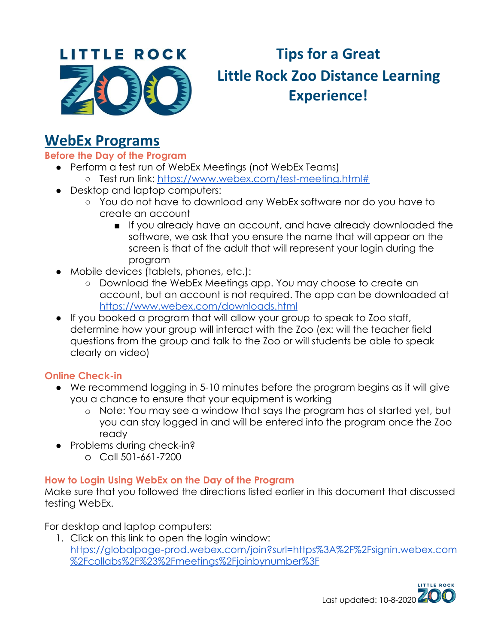

# **Tips for a Great Little Rock Zoo Distance Learning Experience!**

# **WebEx Programs**

**Before the Day of the Program**

- Perform a test run of WebEx Meetings (not WebEx Teams)
	- Test run link: <https://www.webex.com/test-meeting.html#>
- Desktop and laptop computers:
	- You do not have to download any WebEx software nor do you have to create an account
		- If you already have an account, and have already downloaded the software, we ask that you ensure the name that will appear on the screen is that of the adult that will represent your login during the program
- Mobile devices (tablets, phones, etc.):
	- Download the WebEx Meetings app. You may choose to create an account, but an account is not required. The app can be downloaded at <https://www.webex.com/downloads.html>
- If you booked a program that will allow your group to speak to Zoo staff, determine how your group will interact with the Zoo (ex: will the teacher field questions from the group and talk to the Zoo or will students be able to speak clearly on video)

# **Online Check-in**

- We recommend logging in 5-10 minutes before the program begins as it will give you a chance to ensure that your equipment is working
	- o Note: You may see a window that says the program has ot started yet, but you can stay logged in and will be entered into the program once the Zoo ready
- Problems during check-in?
	- o Call 501-661-7200

# **How to Login Using WebEx on the Day of the Program**

Make sure that you followed the directions listed earlier in this document that discussed testing WebEx.

For desktop and laptop computers:

1. Click on this link to open the login window: [https://globalpage-prod.webex.com/join?surl=https%3A%2F%2Fsignin.webex.com](https://globalpage-prod.webex.com/join?surl=https%3A%2F%2Fsignin.webex.com%2Fcollabs%2F%23%2Fmeetings%2Fjoinbynumber%3F) [%2Fcollabs%2F%23%2Fmeetings%2Fjoinbynumber%3F](https://globalpage-prod.webex.com/join?surl=https%3A%2F%2Fsignin.webex.com%2Fcollabs%2F%23%2Fmeetings%2Fjoinbynumber%3F)

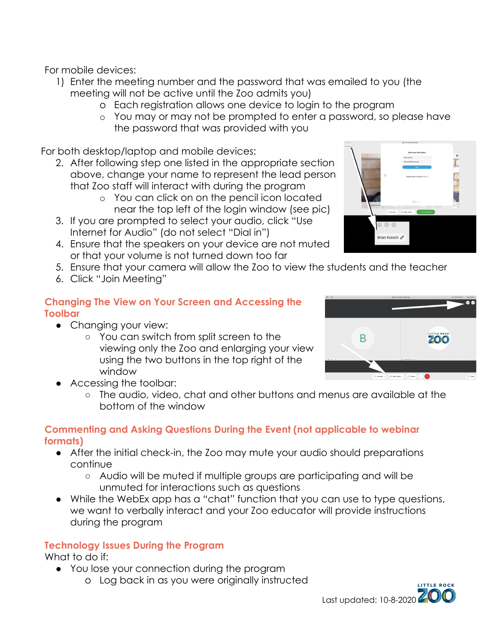For mobile devices:

- 1) Enter the meeting number and the password that was emailed to you (the meeting will not be active until the Zoo admits you)
	- o Each registration allows one device to login to the program
	- o You may or may not be prompted to enter a password, so please have the password that was provided with you

For both desktop/laptop and mobile devices:

- 2. After following step one listed in the appropriate section above, change your name to represent the lead person that Zoo staff will interact with during the program
	- o You can click on on the pencil icon located near the top left of the login window (see pic)
- 3. If you are prompted to select your audio, click "Use Internet for Audio" (do not select "Dial in")
- 4. Ensure that the speakers on your device are not muted or that your volume is not turned down too far
- 5. Ensure that your camera will allow the Zoo to view the students and the teacher
- 6. Click "Join Meeting"

### **Changing The View on Your Screen and Accessing the Toolbar**

- Changing your view:
	- You can switch from split screen to the viewing only the Zoo and enlarging your view using the two buttons in the top right of the window





### **Commenting and Asking Questions During the Event (not applicable to webinar formats)**

- After the initial check-in, the Zoo may mute your audio should preparations continue
	- Audio will be muted if multiple groups are participating and will be unmuted for interactions such as questions
- While the WebEx app has a "chat" function that you can use to type questions, we want to verbally interact and your Zoo educator will provide instructions during the program

# **Technology Issues During the Program**

What to do if:

- You lose your connection during the program
	- o Log back in as you were originally instructed





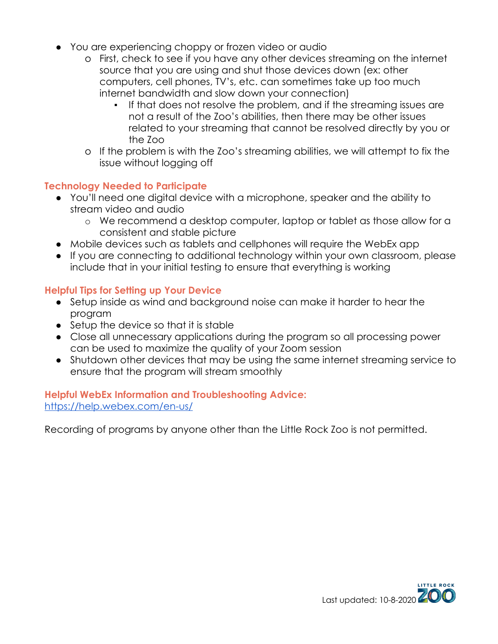- You are experiencing choppy or frozen video or audio
	- o First, check to see if you have any other devices streaming on the internet source that you are using and shut those devices down (ex: other computers, cell phones, TV's, etc. can sometimes take up too much internet bandwidth and slow down your connection)
		- If that does not resolve the problem, and if the streaming issues are not a result of the Zoo's abilities, then there may be other issues related to your streaming that cannot be resolved directly by you or the Zoo
	- o If the problem is with the Zoo's streaming abilities, we will attempt to fix the issue without logging off

### **Technology Needed to Participate**

- You'll need one digital device with a microphone, speaker and the ability to stream video and audio
	- o We recommend a desktop computer, laptop or tablet as those allow for a consistent and stable picture
- Mobile devices such as tablets and cellphones will require the WebEx app
- If you are connecting to additional technology within your own classroom, please include that in your initial testing to ensure that everything is working

#### **Helpful Tips for Setting up Your Device**

- Setup inside as wind and background noise can make it harder to hear the program
- Setup the device so that it is stable
- Close all unnecessary applications during the program so all processing power can be used to maximize the quality of your Zoom session
- Shutdown other devices that may be using the same internet streaming service to ensure that the program will stream smoothly

#### **Helpful WebEx Information and Troubleshooting Advice:** <https://help.webex.com/en-us/>

Recording of programs by anyone other than the Little Rock Zoo is not permitted.

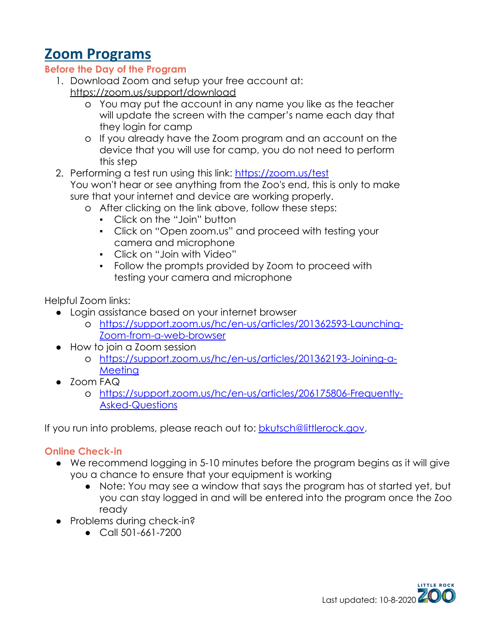# **Zoom Programs**

# **Before the Day of the Program**

- 1. Download Zoom and setup your free account at: <https://zoom.us/support/download>
	- o You may put the account in any name you like as the teacher will update the screen with the camper's name each day that they login for camp
	- o If you already have the Zoom program and an account on the device that you will use for camp, you do not need to perform this step
- 2. Performing a test run using this link: <https://zoom.us/test> You won't hear or see anything from the Zoo's end, this is only to make sure that your internet and device are working properly.
	- o After clicking on the link above, follow these steps:
		- Click on the "Join" button
		- Click on "Open zoom.us" and proceed with testing your camera and microphone
		- Click on "Join with Video"
		- Follow the prompts provided by Zoom to proceed with testing your camera and microphone

Helpful Zoom links:

- Login assistance based on your internet browser
	- o [https://support.zoom.us/hc/en-us/articles/201362593-Launching-](https://support.zoom.us/hc/en-us/articles/201362593-Launching-Zoom-from-a-web-browser)[Zoom-from-a-web-browser](https://support.zoom.us/hc/en-us/articles/201362593-Launching-Zoom-from-a-web-browser)
- How to join a Zoom session
	- o [https://support.zoom.us/hc/en-us/articles/201362193-Joining-a-](https://support.zoom.us/hc/en-us/articles/201362193-Joining-a-Meeting)[Meeting](https://support.zoom.us/hc/en-us/articles/201362193-Joining-a-Meeting)
- Zoom FAQ
	- o [https://support.zoom.us/hc/en-us/articles/206175806-Frequently-](https://support.zoom.us/hc/en-us/articles/206175806-Frequently-Asked-Questions)[Asked-Questions](https://support.zoom.us/hc/en-us/articles/206175806-Frequently-Asked-Questions)

If you run into problems, please reach out to: [bkutsch@littlerock.gov](mailto:bkutsch@littlerock.gov).

# **Online Check-in**

- We recommend logging in 5-10 minutes before the program begins as it will give you a chance to ensure that your equipment is working
	- Note: You may see a window that says the program has ot started yet, but you can stay logged in and will be entered into the program once the Zoo ready
- Problems during check-in?
	- Call 501-661-7200

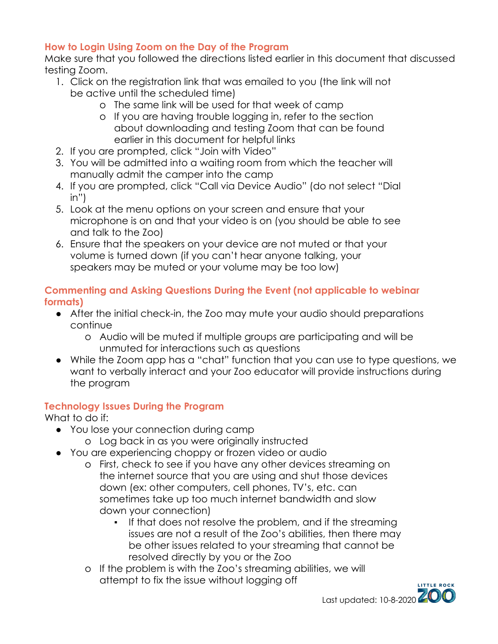# **How to Login Using Zoom on the Day of the Program**

Make sure that you followed the directions listed earlier in this document that discussed testing Zoom.

- 1. Click on the registration link that was emailed to you (the link will not be active until the scheduled time)
	- o The same link will be used for that week of camp
	- o If you are having trouble logging in, refer to the section about downloading and testing Zoom that can be found earlier in this document for helpful links
- 2. If you are prompted, click "Join with Video"
- 3. You will be admitted into a waiting room from which the teacher will manually admit the camper into the camp
- 4. If you are prompted, click "Call via Device Audio" (do not select "Dial in")
- 5. Look at the menu options on your screen and ensure that your microphone is on and that your video is on (you should be able to see and talk to the Zoo)
- 6. Ensure that the speakers on your device are not muted or that your volume is turned down (if you can't hear anyone talking, your speakers may be muted or your volume may be too low)

# **Commenting and Asking Questions During the Event (not applicable to webinar formats)**

- After the initial check-in, the Zoo may mute your audio should preparations continue
	- o Audio will be muted if multiple groups are participating and will be unmuted for interactions such as questions
- While the Zoom app has a "chat" function that you can use to type questions, we want to verbally interact and your Zoo educator will provide instructions during the program

# **Technology Issues During the Program**

What to do if:

- You lose your connection during camp
	- o Log back in as you were originally instructed
- You are experiencing choppy or frozen video or audio
	- o First, check to see if you have any other devices streaming on the internet source that you are using and shut those devices down (ex: other computers, cell phones, TV's, etc. can sometimes take up too much internet bandwidth and slow down your connection)
		- If that does not resolve the problem, and if the streaming issues are not a result of the Zoo's abilities, then there may be other issues related to your streaming that cannot be resolved directly by you or the Zoo
	- o If the problem is with the Zoo's streaming abilities, we will attempt to fix the issue without logging off